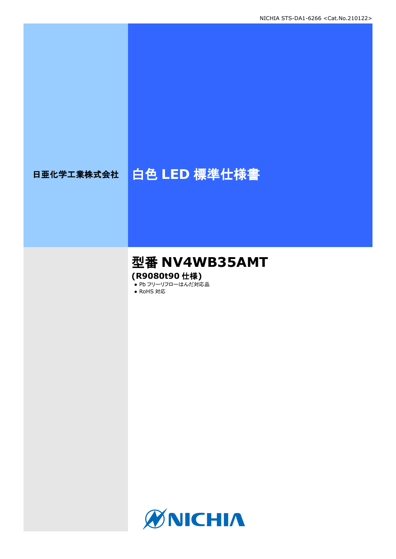# 日亜化学工業株式会社 | 白色 LED 標準仕様書

# 型番 **NV4WB35AMT (R9080t90** 仕様**)**

● Pb フリーリフローはんだ対応品

● RoHS 対応

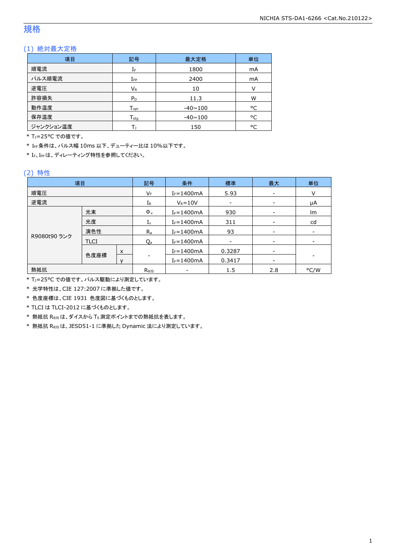## 規格

### (1) 絶対最大定格

| 項目        | 記号                           | 最大定格           |    |
|-----------|------------------------------|----------------|----|
| 順電流       | IF                           | 1800           |    |
| パルス順電流    | ${\rm I}_{\rm FP}$           | 2400           | mA |
| 逆電圧       | $V_{R}$                      | 10             | V  |
| 許容損失      | $P_D$                        | 11.3           | W  |
| 動作温度      | ${\mathsf T}_{\textsf{opr}}$ | $-40 \sim 100$ | °C |
| 保存温度      | $T_{\rm stq}$                | $-40 \sim 100$ | °C |
| ジャンクション温度 |                              | 150            | °C |

\* T<sub>1</sub>=25°C での値です。

\* IFP条件は、パルス幅 10ms 以下、デューティー比は 10%以下です。

\* IF、IFPは、ディレーティング特性を参照してください。

### (2) 特性

| 項目           |             |         | 記号                     | 条件             | 標準              | 最大                           | 単位   |
|--------------|-------------|---------|------------------------|----------------|-----------------|------------------------------|------|
| 順電圧          |             |         | VF                     | $I_F = 1400mA$ | 5.93            |                              | ٧    |
| 逆電流          |             |         | ${\rm I}_{\mathsf{R}}$ | $V_R = 10V$    |                 |                              | μA   |
|              | 光束          |         | $\Phi_{\rm v}$         | $I_F = 1400mA$ | 930             |                              | lm   |
|              | 光度          |         | $I_{v}$                | $I_F = 1400mA$ | 311             |                              | cd   |
| 演色性          |             | $R_{a}$ | $I_F = 1400mA$         | 93             | $\qquad \qquad$ | $\qquad \qquad \blacksquare$ |      |
| R9080t90 ランク | <b>TLCI</b> |         | Qa                     | $I_F = 1400mA$ |                 |                              | ۰    |
|              | 色度座標        | X       |                        | $I_F = 1400mA$ | 0.3287          | $\overline{\phantom{a}}$     |      |
|              |             |         | $I_F = 1400mA$         | 0.3417         |                 |                              |      |
| 熱抵抗          |             |         | $R_{\theta}$           |                | 1.5             | 2.8                          | °C/W |

\* TJ=25°C での値です。パルス駆動により測定しています。

\* 光学特性は、CIE 127:2007 に準拠した値です。

\* 色度座標は、CIE 1931 色度図に基づくものとします。

\* TLCI は TLCI-2012 に基づくものとします。

\* 熱抵抗 RθJSは、ダイスから TS測定ポイントまでの熱抵抗を表します。

\* 熱抵抗 RθJSは、JESD51-1 に準拠した Dynamic 法により測定しています。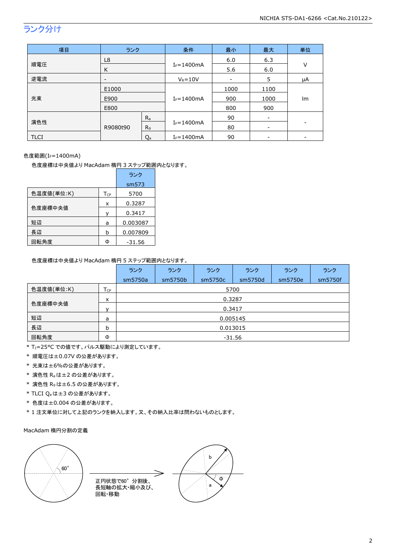# ランク分け

| 項目   | ランク                   |                | 条件             | 最小   | 最大   | 単位     |
|------|-----------------------|----------------|----------------|------|------|--------|
|      | L8                    |                |                | 6.0  | 6.3  | $\vee$ |
| 順電圧  | K                     |                | $I_F = 1400mA$ | 5.6  | 6.0  |        |
| 逆電流  |                       |                | $V_R = 10V$    | -    | 5    | μA     |
|      | E1000<br>E900<br>E800 |                | $I_F = 1400mA$ | 1000 | 1100 | lm     |
| 光束   |                       |                |                | 900  | 1000 |        |
|      |                       |                |                | 800  | 900  |        |
|      |                       | $R_{a}$        |                | 90   |      |        |
| 演色性  | R9080t90              | R <sub>9</sub> | $I_F = 1400mA$ | 80   | -    |        |
| TLCI |                       | $Q_{a}$        | $I_F = 1400mA$ | 90   |      |        |

### 色度範囲(IF=1400mA)

色度座標は中央値より MacAdam 楕円 3 ステップ範囲内となります。

|            |          | ランク      |
|------------|----------|----------|
|            |          | sm573    |
| 色温度値(単位:K) | $T_{CP}$ | 5700     |
|            | x        | 0.3287   |
| 色度座標中央値    | ν        | 0.3417   |
| 短辺         | a        | 0.003087 |
| 長辺         | b        | 0.007809 |
| 回転角度       | Φ        | $-31.56$ |

#### 色度座標は中央値より MacAdam 楕円 5 ステップ範囲内となります。

|              |                   | ランク      | ランク     | ランク     | ランク     | ランク     | ランク     |  |  |
|--------------|-------------------|----------|---------|---------|---------|---------|---------|--|--|
|              |                   | sm5750a  | sm5750b | sm5750c | sm5750d | sm5750e | sm5750f |  |  |
| 色温度値(単位:K)   | $T_{\mathsf{CP}}$ |          | 5700    |         |         |         |         |  |  |
| x<br>色度座標中央値 |                   | 0.3287   |         |         |         |         |         |  |  |
|              |                   | 0.3417   |         |         |         |         |         |  |  |
| 短辺           | a                 | 0.005145 |         |         |         |         |         |  |  |
| 長辺           | b                 | 0.013015 |         |         |         |         |         |  |  |
| 回転角度         | Φ                 | $-31.56$ |         |         |         |         |         |  |  |

\* TJ=25°C での値です。パルス駆動により測定しています。

- \* 順電圧は±0.07V の公差があります。
- \* 光束は±6%の公差があります。
- \* 演色性 Raは±2 の公差があります。
- \* 演色性 R9は±6.5 の公差があります。
- \* TLCI Qaは±3 の公差があります。
- \* 色度は±0.004 の公差があります。
- \* 1 注文単位に対して上記のランクを納入します。又、その納入比率は問わないものとします。

#### MacAdam 楕円分割の定義

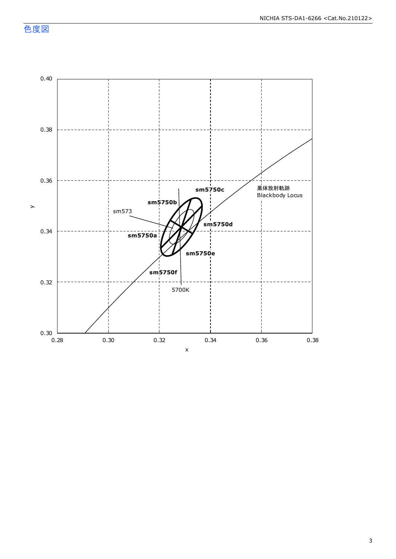色度図

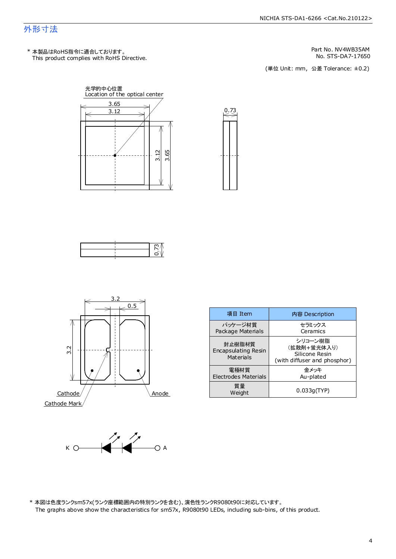### 外形寸法

This product complies with RoHS Directive. \* 本製品はRoHS指令に適合しております。

No. STS-DA7-17650 Part No. NV4WB35AM

(単位 Unit: mm) (単位 Unit: mm, 公差 Tolerance: ±0.2)









| 項目 Item                                           | 内容 Description                                                           |
|---------------------------------------------------|--------------------------------------------------------------------------|
| パッケージ材質<br>Package Materials                      | セラミックス<br>Ceramics                                                       |
| 封止樹脂材質<br><b>Encapsulating Resin</b><br>Materials | シリコーン樹脂<br>(拡散剤+蛍光体入り)<br>Silicone Resin<br>(with diffuser and phosphor) |
| 雷極材質<br><b>Electrodes Materials</b>               | 余メッキ<br>Au-plated                                                        |
| 質量<br>Weight                                      | 0.033q(TYP)                                                              |



\* 本図は色度ランクs m57x(ランク座標範囲内の特別ランクを含む)、演色性ランクR9080t90に対応しています。 The graphs above show the characteristics for sm57x, R9080t90 LEDs, including sub-bins, of this product.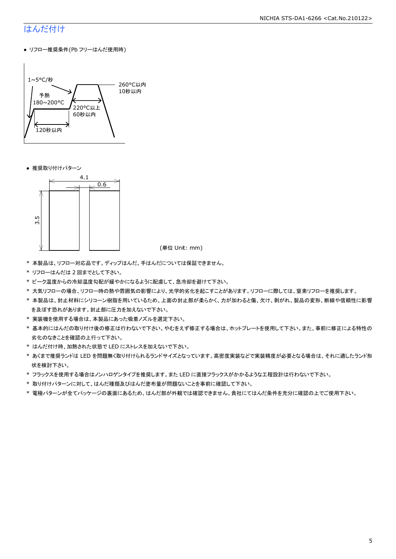# はんだ付け

● リフロー推奨条件(Pb フリーはんだ使用時)



● 推奨取り付けパターン



(単位 Unit: mm)

- \* 本製品は、リフロー対応品です。ディップはんだ、手はんだについては保証できません。
- \* リフローはんだは 2 回までとして下さい。
- \* ピーク温度からの冷却温度勾配が緩やかになるように配慮して、急冷却を避けて下さい。
- \* 大気リフローの場合、リフロー時の熱や雰囲気の影響により、光学的劣化を起こすことがあります。リフローに際しては、窒素リフローを推奨します。
- \* 本製品は、封止材料にシリコーン樹脂を用いているため、上面の封止部が柔らかく、力が加わると傷、欠け、剥がれ、製品の変形、断線や信頼性に影響 を及ぼす恐れがあります。封止部に圧力を加えないで下さい。
- \* 実装機を使用する場合は、本製品にあった吸着ノズルを選定下さい。
- \* 基本的にはんだの取り付け後の修正は行わないで下さい。やむをえず修正する場合は、ホットプレートを使用して下さい。また、事前に修正による特性の 劣化のなきことを確認の上行って下さい。
- \* はんだ付け時、加熱された状態で LED にストレスを加えないで下さい。
- \* あくまで推奨ランドは LED を問題無く取り付けられるランドサイズとなっています。高密度実装などで実装精度が必要となる場合は、それに適したランド形 状を検討下さい。
- \* フラックスを使用する場合はノンハロゲンタイプを推奨します。また LED に直接フラックスがかかるような工程設計は行わないで下さい。
- \* 取り付けパターンに対して、はんだ種類及びはんだ塗布量が問題ないことを事前に確認して下さい。
- \* 電極パターンが全てパッケージの裏面にあるため、はんだ部が外観では確認できません。貴社にてはんだ条件を充分に確認の上でご使用下さい。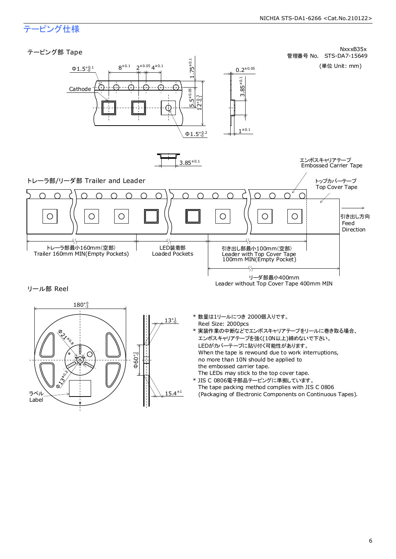# テーピング仕様

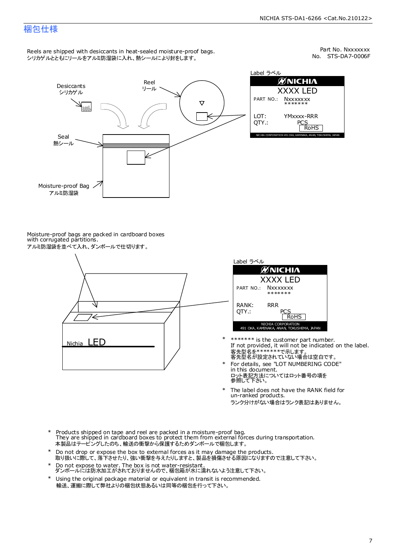### 梱包仕様

Reels are shipped with desiccants in heat-sealed moisture-proof bags. シリカゲルとともにリールをアルミ防湿袋に入れ、熱シールにより封をします。

No. STS-DA7-0006F Part No. Nxxxxxxx



Label ラベル ØNICHIA XXXX LED YMxxxx-RRR PCS<br>RoHS NICHIA CORPORATION 491 OKA, KAMINAKA, ANAN, TOKUSHIMA, JAPAN

Moisture-proof bags are packed in cardboard boxes with corrugated partitions. アルミ防湿袋を並べて入れ、ダンボールで仕切ります。





- 客先型名を\*\*\*\*\*\*\*\*で示します。<br>客先型名が設定されていない場合は空白です。 If not provided, it will not be indicated on the label. \*\*\*\*\*\*\* is the customer part number.
- For details, see "LOT NUMBERING CODE" in this document. ロット表記方法についてはロット番号の項を<br>参照して下さい。 \*
- The label does not have the RANK field for un-ranked products. ランク分けがない場合はランク表記はありません。 \*
- Products shipped on tape and reel are packed in a moisture-proof bag. They are shipped in cardboard boxes to protect them from external forces during transportation. 本製品はテーピングしたのち、輸送の衝撃から保護するためダンボールで梱包します。 \*
- Do not drop or expose the box to external forces as it may damage the products. 取り扱いに際して、落下させたり、強い衝撃を与えたりしますと、製品を損傷させる原因になりますので注意して下さい。 \*
- Do not expose to water. The box is not water-resistant. ダンボールには防水加工がされておりませんので、梱包箱が水に濡れないよう注意して下さい。 \*
- \* Using the original package material or equivalent in transit is recommended. 輸送、運搬に際して弊社よりの梱包状態あるいは同等の梱包を行って下さい。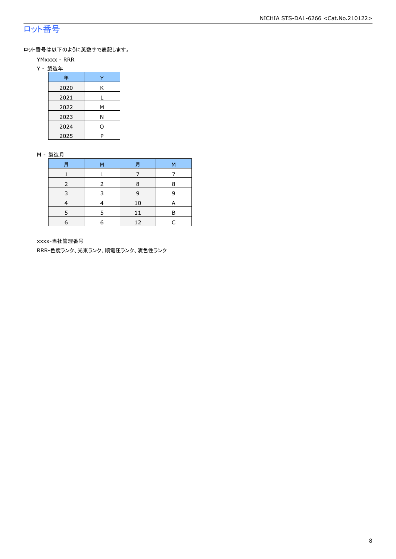# ロット番号

ロット番号は以下のように英数字で表記します。

- YMxxxx RRR
- Y 製造年

| 年    |   |
|------|---|
| 2020 | Κ |
| 2021 |   |
| 2022 | м |
| 2023 | Ν |
| 2024 | ი |
| 2025 | P |

#### M - 製造月

| 月 | M | 月  | M |
|---|---|----|---|
|   |   |    |   |
|   |   | 8  | 8 |
| ∍ |   | 9  | q |
|   |   | 10 | A |
|   |   |    | R |
| 6 | F | 12 |   |

xxxx-当社管理番号

RRR-色度ランク、光束ランク、順電圧ランク、演色性ランク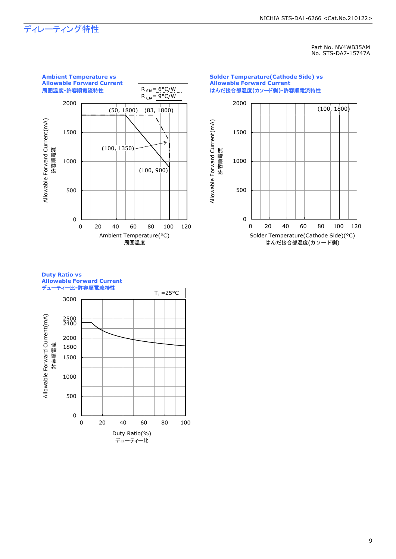# ディレーティング特性

Part No. NV4WB35AM No. STS-DA7-15747A



#### **Solder Temperature(Cathode Side) vs Allowable Forward Current** はんだ接合部温度**(**カソード側**)-**許容順電流特性



#### **Duty Ratio vs Allowable Forward Current** デューティー比**-**許容順電流特性

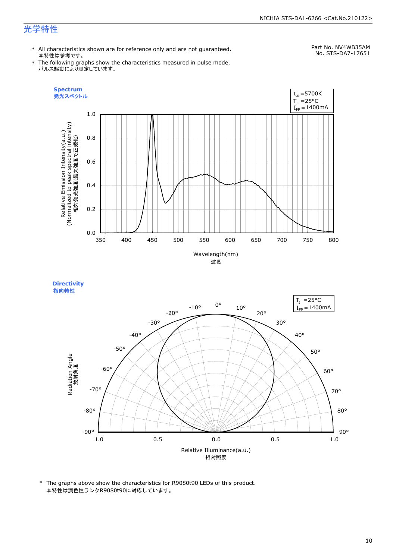#### NICHIA STS-DA1-6266 <Cat.No.210122>

# 光学特性

\* All characteristics shown are for reference only and are not guaranteed. 本特性は参考です。

# Part No. NV4WB35AM

\* The following graphs show the characteristics measured in pulse mode. パルス駆動により測定しています。

No. STS-DA7-17651





<sup>\*</sup> The graphs above show the characteristics for R9080t90 LEDs of this product. 本特性は演色性ランクR9080t90に対応しています。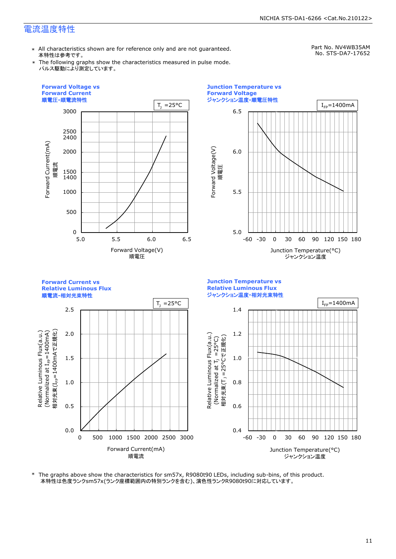## 電流温度特性

\* All characteristics shown are for reference only and are not guaranteed. 本特性は参考です。

Part No. NV4WB35AM No. STS-DA7-17652

\* The following graphs show the characteristics measured in pulse mode. パルス駆動により測定しています。





ジャンクション温度

順電流**-**相対光束特性



\* The graphs above show the characteristics for sm57x, R9080t90 LEDs, including sub-bins, of this product. 本特性は色度ランクsm57x(ランク座標範囲内の特別ランクを含む)、演色性ランクR9080t90に対応しています。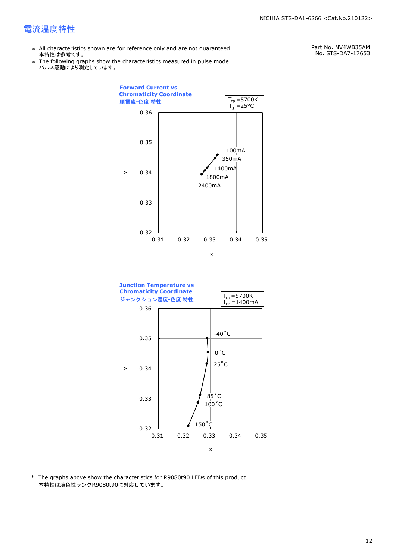### 電流温度特性

- \* All characteristics shown are for reference only and are not guaranteed. 本特性は参考です。
- \* Ine following graphs show th<br>、パルス駆動により測定しています。 The following graphs show the characteristics measured in pulse mode.

Part No. NV4WB35AM No. STS-DA7-17653





\* The graphs above show the characteristics for R9080t90 LEDs of this product. 本特性は演色性ランクR9080t90に対応しています。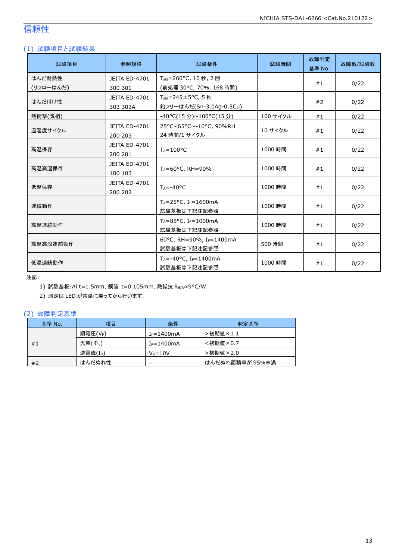# 信頼性

### (1) 試験項目と試験結果

| 試験項目      | 参照規格                            | 試験条件                                                        | 試験時間     | 故障判定<br>基準 No. | 故障数/試験数 |
|-----------|---------------------------------|-------------------------------------------------------------|----------|----------------|---------|
| はんだ耐熱性    | JEITA ED-4701                   | T <sub>sld</sub> =260°C, 10 秒, 2 回                          |          |                |         |
| (リフローはんだ) | 300 301                         | (前処理 30°C, 70%, 168 時間)                                     |          | #1             | 0/22    |
| はんだ付け性    | <b>JEITA ED-4701</b>            | $T_{\text{std}} = 245 \pm 5^{\circ}$ C, 5秒                  |          |                |         |
|           | 303 303A                        | 鉛フリーはんだ(Sn-3.0Ag-0.5Cu)                                     |          | #2             | 0/22    |
| 熱衝撃(気相)   |                                 | -40°C(15 分)~100°C(15 分)                                     | 100 サイクル | #1             | 0/22    |
| 温湿度サイクル   | <b>JEITA ED-4701</b><br>200 203 | 25°C~65°C~-10°C, 90%RH<br>24 時間/1 サイクル                      | 10 サイクル  | #1             | 0/22    |
| 高温保存      | JEITA ED-4701<br>200 201        | $T_A = 100^{\circ}C$                                        | 1000 時間  | #1             | 0/22    |
| 高温高湿保存    | <b>JEITA ED-4701</b><br>100 103 | TA=60°C, RH=90%                                             | 1000 時間  | #1             | 0/22    |
| 低温保存      | JEITA ED-4701<br>200 202        | $T_A = -40$ °C                                              | 1000 時間  | #1             | 0/22    |
| 連続動作      |                                 | $T_A = 25$ °C, I <sub>F</sub> =1600mA<br>試験基板は下記注記参照        | 1000 時間  | #1             | 0/22    |
| 高温連続動作    |                                 | T <sub>A</sub> =85°C, I <sub>F</sub> =1000mA<br>試験基板は下記注記参照 | 1000 時間  | #1             | 0/22    |
| 高温高湿連続動作  |                                 | 60°C, RH=90%, IF=1400mA<br>試験基板は下記注記参照                      | 500 時間   | #1             | 0/22    |
| 低温連続動作    |                                 | $T_A = -40$ °C, I <sub>F</sub> =1400mA<br>試験基板は下記注記参照       | 1000 時間  | #1             | 0/22    |

注記:

1) 試験基板:Al t=1.5mm、銅箔 t=0.105mm、熱抵抗 RθJA≈9°C/W

2) 測定は LED が常温に戻ってから行います。

### (2) 故障判定基準

| 基準 No. | 項目                  | 条件                     | 判定基準            |
|--------|---------------------|------------------------|-----------------|
|        | 順電圧(VF)             | $I_F = 1400 \text{mA}$ | >初期値×1.1        |
| #1     | 光束(Φ <sub>v</sub> ) | $I_F = 1400$ mA        | <初期値×0.7        |
|        | 逆電流(IR)             | $V_R = 10V$            | >初期値×2.0        |
| #2     | はんだぬれ性              | -                      | はんだぬれ面積率が 95%未満 |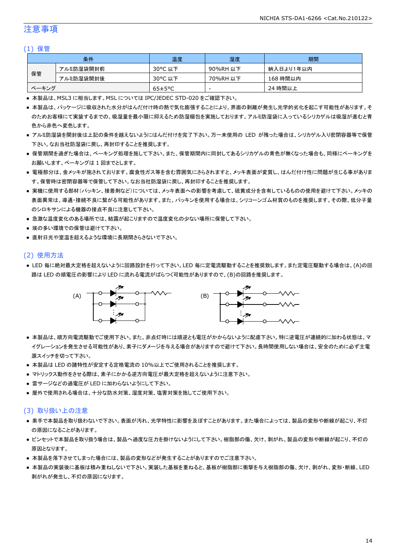### 注意事項

#### (1) 保管

|       | 条件        | 温度                   | 湿度       | 期間        |
|-------|-----------|----------------------|----------|-----------|
|       | アルミ防湿袋開封前 | 30°C 以下              | 90%RH 以下 | 納入日より1年以内 |
| 保管    | アルミ防湿袋開封後 | 30°C 以下              | 70%RH 以下 | 168 時間以内  |
| ベーキング |           | $65 \pm 5^{\circ}$ C | -        | 24 時間以上   |

● 本製品は、MSL3 に相当します。MSL については IPC/JEDEC STD-020 をご確認下さい。

- 本製品は、パッケージに吸収された水分がはんだ付け時の熱で気化膨張することにより、界面の剥離が発生し光学的劣化を起こす可能性があります。そ のためお客様にて実装するまでの、吸湿量を最小限に抑えるため防湿梱包を実施しております。アルミ防湿袋に入っているシリカゲルは吸湿が進むと青 色から赤色へ変色します。
- アルミ防湿袋を開封後は上記の条件を越えないようにはんだ付けを完了下さい。万一未使用の LED が残った場合は、シリカゲル入り密閉容器等で保管 下さい。なお当社防湿袋に戻し、再封印することを推奨します。
- 保管期間を過ぎた場合は、ベーキング処理を施して下さい。また、保管期間内に同封してあるシリカゲルの青色が無くなった場合も、同様にベーキングを お願いします。ベーキングは 1 回までとします。
- 電極部分は、金メッキが施されております。腐食性ガス等を含む雰囲気にさらされますと、メッキ表面が変質し、はんだ付け性に問題が生じる事がありま す。保管時は密閉容器等で保管して下さい。なお当社防湿袋に戻し、再封印することを推奨します。
- 実機に使用する部材(パッキン、接着剤など)については、メッキ表面への影響を考慮して、硫黄成分を含有しているものの使用を避けて下さい。メッキの 表面異常は、導通・接続不良に繋がる可能性があります。また、パッキンを使用する場合は、シリコーンゴム材質のものを推奨します。その際、低分子量 のシロキサンによる機器の接点不良に注意して下さい。
- 急激な温度変化のある場所では、結露が起こりますので温度変化の少ない場所に保管して下さい。
- 埃の多い環境での保管は避けて下さい。
- 直射日光や室温を超えるような環境に長期間さらさないで下さい。

#### (2) 使用方法

● LED 毎に絶対最大定格を超えないように回路設計を行って下さい。LED 毎に定電流駆動することを推奨致します。また定電圧駆動する場合は、(A)の回 路は LED の順電圧の影響により LED に流れる電流がばらつく可能性がありますので、(B)の回路を推奨します。



- 本製品は、順方向電流駆動でご使用下さい。また、非点灯時には順逆とも電圧がかからないように配慮下さい。特に逆電圧が連続的に加わる状態は、マ イグレーションを発生させる可能性があり、素子にダメージを与える場合がありますので避けて下さい。長時間使用しない場合は、安全のために必ず主電 源スイッチを切って下さい。
- 本製品は LED の諸特性が安定する定格電流の 10%以上でご使用されることを推奨します。
- マトリックス動作をさせる際は、素子にかかる逆方向電圧が最大定格を超えないように注意下さい。
- 雷サージなどの過電圧が LED に加わらないようにして下さい。
- 屋外で使用される場合は、十分な防水対策、湿度対策、塩害対策を施してご使用下さい。

#### (3) 取り扱い上の注意

- 素手で本製品を取り扱わないで下さい。表面が汚れ、光学特性に影響を及ぼすことがあります。また場合によっては、製品の変形や断線が起こり、不灯 の原因になることがあります。
- ピンセットで本製品を取り扱う場合は、製品へ過度な圧力を掛けないようにして下さい。樹脂部の傷、欠け、剥がれ、製品の変形や断線が起こり、不灯の 原因となります。
- 本製品を落下させてしまった場合には、製品の変形などが発生することがありますのでご注意下さい。
- 本製品の実装後に基板は積み重ねしないで下さい。実装した基板を重ねると、基板が樹脂部に衝撃を与え樹脂部の傷、欠け、剥がれ、変形・断線、LED 剥がれが発生し、不灯の原因になります。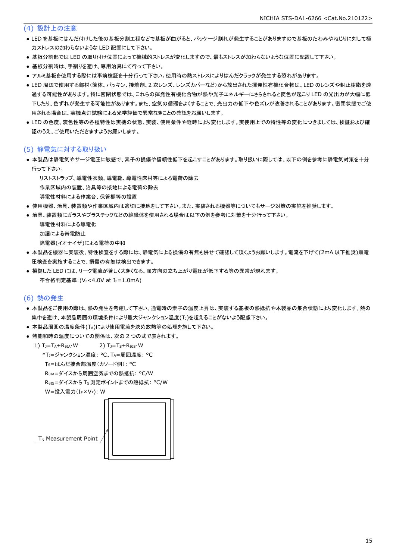#### (4) 設計上の注意

- LED を基板にはんだ付けした後の基板分割工程などで基板が曲がると、パッケージ割れが発生することがありますので基板のたわみやねじりに対して極 力ストレスの加わらないような LED 配置にして下さい。
- 基板分割部では LED の取り付け位置によって機械的ストレスが変化しますので、最もストレスが加わらないような位置に配置して下さい。
- 基板分割時は、手割りを避け、専用治具にて行って下さい。
- アルミ基板を使用する際には事前検証を十分行って下さい。使用時の熱ストレスによりはんだクラックが発生する恐れがあります。
- LED 周辺で使用する部材(筐体、パッキン、接着剤、2 次レンズ、レンズカバーなど)から放出された揮発性有機化合物は、LED のレンズや封止樹脂を透 過する可能性があります。特に密閉状態では、これらの揮発性有機化合物が熱や光子エネルギーにさらされると変色が起こり LED の光出力が大幅に低 下したり、色ずれが発生する可能性があります。また、空気の循環をよくすることで、光出力の低下や色ズレが改善されることがあります。密閉状態でご使 用される場合は、実機点灯試験による光学評価で異常なきことの確認をお願いします。
- LED の色度、演色性等の各種特性は実機の状態、実装、使用条件や経時により変化します。実使用上での特性等の変化につきましては、検証および確 認のうえ、ご使用いただきますようお願いします。

#### (5) 静電気に対する取り扱い

● 本製品は静電気やサージ電圧に敏感で、素子の損傷や信頼性低下を起こすことがあります。取り扱いに際しては、以下の例を参考に静電気対策を十分 行って下さい。

リストストラップ、導電性衣類、導電靴、導電性床材等による電荷の除去

作業区域内の装置、治具等の接地による電荷の除去

- 導電性材料による作業台、保管棚等の設置
- 使用機器、治具、装置類や作業区域内は適切に接地をして下さい。また、実装される機器等についてもサージ対策の実施を推奨します。
- 治具、装置類にガラスやプラスチックなどの絶縁体を使用される場合は以下の例を参考に対策を十分行って下さい。

```
 導電性材料による導電化
加湿による帯電防止
除電器(イオナイザ)による電荷の中和
```
- 本製品を機器に実装後、特性検査をする際には、静電気による損傷の有無も併せて確認して頂くようお願いします。電流を下げて(2mA 以下推奨)順電 圧検査を実施することで、損傷の有無は検出できます。
- 損傷した LED には、リーク電流が著しく大きくなる、順方向の立ち上がり電圧が低下する等の異常が現れます。 不合格判定基準: (VF<4.0V at IF=1.0mA)

#### (6) 熱の発生

- 本製品をご使用の際は、熱の発生を考慮して下さい。通電時の素子の温度上昇は、実装する基板の熱抵抗や本製品の集合状態により変化します。熱の 集中を避け、本製品周囲の環境条件により最大ジャンクション温度(T」)を超えることがないよう配慮下さい。
- 本製品周囲の温度条件(TA)により使用電流を決め放熱等の処理を施して下さい。
- 熱飽和時の温度についての関係は、次の2つの式で表されます。

1)  $T_J = T_A + R_{\theta JA} \cdot W$  2)  $T_J = T_S + R_{\theta JS} \cdot W$ \*TJ=ジャンクション温度: °C、TA=周囲温度: °C

TS=はんだ接合部温度(カソード側): °C

RθJA=ダイスから周囲空気までの熱抵抗: °C/W

RθJS=ダイスから TS測定ポイントまでの熱抵抗: °C/W

```
W=投入電力(I<sub>F</sub>×V<sub>F</sub>): W
```